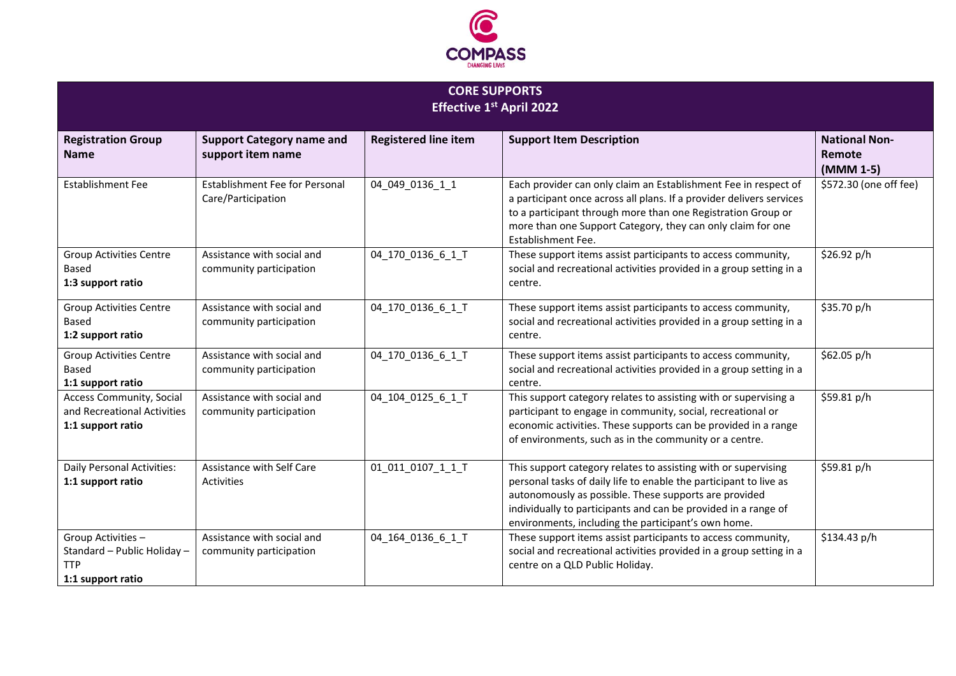

| <b>CORE SUPPORTS</b>            |
|---------------------------------|
| <b>Effective 1st April 2022</b> |

| <b>Registration Group</b><br><b>Name</b>                                             | <b>Support Category name and</b><br>support item name | <b>Registered line item</b> | <b>Support Item Description</b>                                                                                                                                                                                                                                                                                       | <b>National Non-</b><br>Remote<br>(MMM 1-5) |
|--------------------------------------------------------------------------------------|-------------------------------------------------------|-----------------------------|-----------------------------------------------------------------------------------------------------------------------------------------------------------------------------------------------------------------------------------------------------------------------------------------------------------------------|---------------------------------------------|
| <b>Establishment Fee</b>                                                             | Establishment Fee for Personal<br>Care/Participation  | 04_049_0136_1_1             | Each provider can only claim an Establishment Fee in respect of<br>a participant once across all plans. If a provider delivers services<br>to a participant through more than one Registration Group or<br>more than one Support Category, they can only claim for one<br>Establishment Fee.                          | \$572.30 (one off fee)                      |
| <b>Group Activities Centre</b><br><b>Based</b><br>1:3 support ratio                  | Assistance with social and<br>community participation | 04_170_0136_6_1_T           | These support items assist participants to access community,<br>social and recreational activities provided in a group setting in a<br>centre.                                                                                                                                                                        | \$26.92 p/h                                 |
| <b>Group Activities Centre</b><br>Based<br>1:2 support ratio                         | Assistance with social and<br>community participation | 04 170 0136 6 1 T           | These support items assist participants to access community,<br>social and recreational activities provided in a group setting in a<br>centre.                                                                                                                                                                        | \$35.70 p/h                                 |
| <b>Group Activities Centre</b><br><b>Based</b><br>1:1 support ratio                  | Assistance with social and<br>community participation | 04_170_0136_6_1_T           | These support items assist participants to access community,<br>social and recreational activities provided in a group setting in a<br>centre.                                                                                                                                                                        | \$62.05 p/h                                 |
| <b>Access Community, Social</b><br>and Recreational Activities<br>1:1 support ratio  | Assistance with social and<br>community participation | 04 104 0125 6 1 T           | This support category relates to assisting with or supervising a<br>participant to engage in community, social, recreational or<br>economic activities. These supports can be provided in a range<br>of environments, such as in the community or a centre.                                                           | \$59.81 p/h                                 |
| Daily Personal Activities:<br>1:1 support ratio                                      | Assistance with Self Care<br><b>Activities</b>        | 01 011 0107 1 1 T           | This support category relates to assisting with or supervising<br>personal tasks of daily life to enable the participant to live as<br>autonomously as possible. These supports are provided<br>individually to participants and can be provided in a range of<br>environments, including the participant's own home. | \$59.81 p/h                                 |
| Group Activities -<br>Standard - Public Holiday -<br><b>TTP</b><br>1:1 support ratio | Assistance with social and<br>community participation | 04_164_0136_6_1_T           | These support items assist participants to access community,<br>social and recreational activities provided in a group setting in a<br>centre on a QLD Public Holiday.                                                                                                                                                | \$134.43 p/h                                |